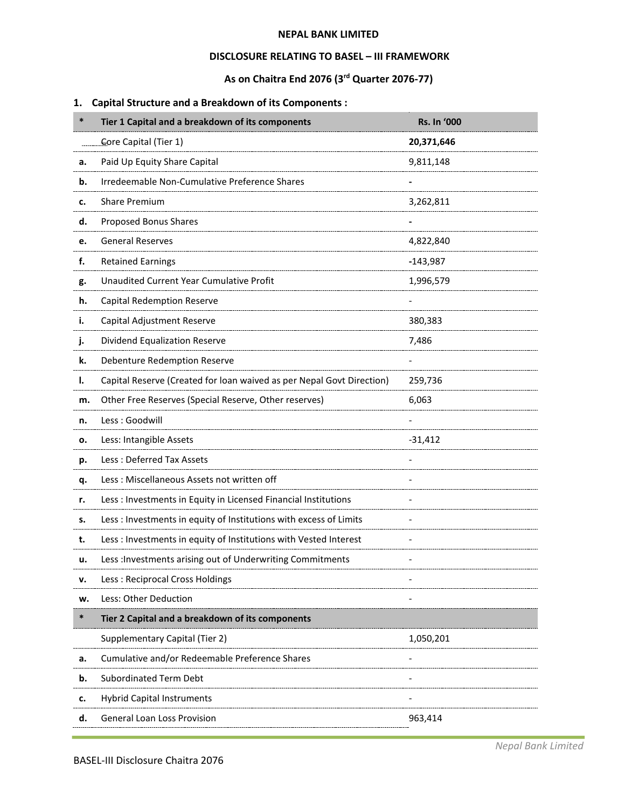### **NEPAL BANK LIMITED**

## **DISCLOSURE RELATING TO BASEL – III FRAMEWORK**

# **As on Chaitra End 2076 (3rd Quarter 2076-77)**

# **1. Capital Structure and a Breakdown of its Components :**

| $\ast$ | Tier 1 Capital and a breakdown of its components                      | <b>Rs. In '000</b> |
|--------|-----------------------------------------------------------------------|--------------------|
|        | Core Capital (Tier 1)                                                 | 20,371,646         |
| а.     | Paid Up Equity Share Capital                                          | 9,811,148          |
| b.     | Irredeemable Non-Cumulative Preference Shares                         |                    |
| c.     | <b>Share Premium</b>                                                  | 3,262,811          |
| d.     | Proposed Bonus Shares                                                 |                    |
| e.     | <b>General Reserves</b>                                               | 4,822,840          |
| f.     | <b>Retained Earnings</b>                                              | $-143,987$         |
| g.     | Unaudited Current Year Cumulative Profit                              | 1,996,579          |
| h.     | <b>Capital Redemption Reserve</b>                                     |                    |
| i.     | Capital Adjustment Reserve                                            | 380,383            |
| j.     | Dividend Equalization Reserve                                         | 7,486              |
| k.     | Debenture Redemption Reserve                                          |                    |
| ı.     | Capital Reserve (Created for loan waived as per Nepal Govt Direction) | 259,736            |
| m.     | Other Free Reserves (Special Reserve, Other reserves)                 | 6,063              |
| n.     | Less: Goodwill                                                        |                    |
| о.     | Less: Intangible Assets                                               | $-31,412$          |
| p.     | Less: Deferred Tax Assets                                             |                    |
| q.     | Less: Miscellaneous Assets not written off                            |                    |
| r.     | Less : Investments in Equity in Licensed Financial Institutions       |                    |
| s.     | Less : Investments in equity of Institutions with excess of Limits    |                    |
| t.     | Less : Investments in equity of Institutions with Vested Interest     |                    |
| u.     | Less : Investments arising out of Underwriting Commitments            |                    |
| v.     | Less: Reciprocal Cross Holdings                                       |                    |
| w.     | Less: Other Deduction                                                 |                    |
| $\ast$ | Tier 2 Capital and a breakdown of its components                      |                    |
|        | Supplementary Capital (Tier 2)                                        | 1,050,201          |
| а.     | Cumulative and/or Redeemable Preference Shares                        |                    |
| b.     | <b>Subordinated Term Debt</b>                                         |                    |
| c.     | <b>Hybrid Capital Instruments</b>                                     |                    |
| d.     | <b>General Loan Loss Provision</b>                                    | 963,414            |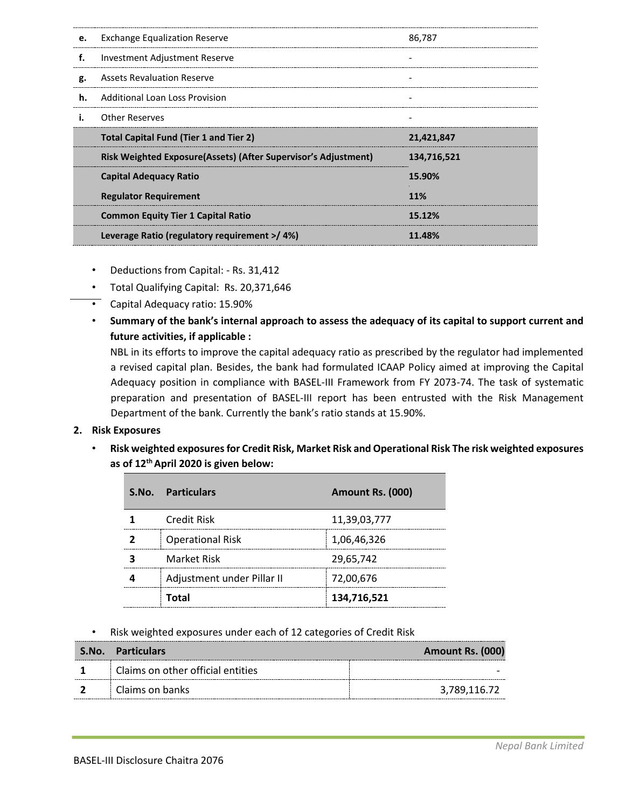| e. | <b>Exchange Equalization Reserve</b>                           | 86,787      |
|----|----------------------------------------------------------------|-------------|
| f. | Investment Adjustment Reserve                                  |             |
| g. | <b>Assets Revaluation Reserve</b>                              |             |
| h. | Additional Loan Loss Provision                                 |             |
|    | <b>Other Reserves</b>                                          |             |
|    |                                                                |             |
|    | <b>Total Capital Fund (Tier 1 and Tier 2)</b>                  | 21,421,847  |
|    | Risk Weighted Exposure(Assets) (After Supervisor's Adjustment) | 134.716.521 |
|    | <b>Capital Adequacy Ratio</b>                                  | 15.90%      |
|    | <b>Regulator Requirement</b>                                   | 11%         |
|    | <b>Common Equity Tier 1 Capital Ratio</b>                      | 15.12%      |

- Deductions from Capital: Rs. 31,412
- Total Qualifying Capital: Rs. 20,371,646
- Capital Adequacy ratio: 15.90%
- **Summary of the bank's internal approach to assess the adequacy of its capital to support current and future activities, if applicable :**

NBL in its efforts to improve the capital adequacy ratio as prescribed by the regulator had implemented a revised capital plan. Besides, the bank had formulated ICAAP Policy aimed at improving the Capital Adequacy position in compliance with BASEL-III Framework from FY 2073-74. The task of systematic preparation and presentation of BASEL-III report has been entrusted with the Risk Management Department of the bank. Currently the bank's ratio stands at 15.90%.

### **2. Risk Exposures**

• **Risk weighted exposures for Credit Risk, Market Risk and Operational Risk The risk weighted exposures as of 12th April 2020 is given below:** 

| S.No. | <b>Particulars</b>         | Amount Rs. (000) |
|-------|----------------------------|------------------|
|       | Credit Risk                | 11,39,03,777     |
|       | <b>Operational Risk</b>    | 1,06,46,326      |
|       | <b>Market Risk</b>         | 29,65,742        |
|       | Adjustment under Pillar II | 72,00,676        |
|       | Total                      | 134,716,521      |

### • Risk weighted exposures under each of 12 categories of Credit Risk

| S.No. Particulars                 | Amount Rs. (000) |
|-----------------------------------|------------------|
| Claims on other official entities |                  |
| Claims on banks                   | 3,789,116.72     |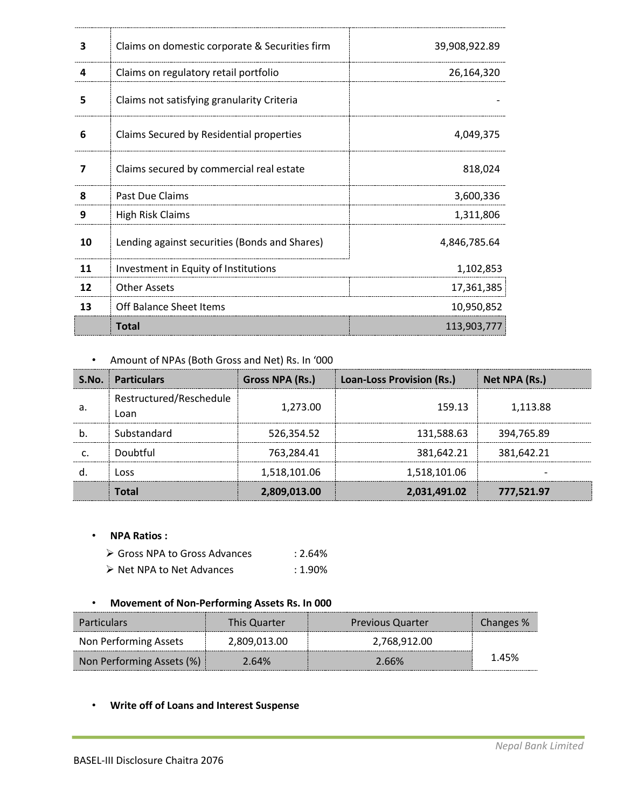| 3  | Claims on domestic corporate & Securities firm | 39,908,922.89 |
|----|------------------------------------------------|---------------|
| 4  | Claims on regulatory retail portfolio          | 26,164,320    |
| 5  | Claims not satisfying granularity Criteria     |               |
| 6  | Claims Secured by Residential properties       | 4,049,375     |
| 7  | Claims secured by commercial real estate       | 818,024       |
| 8  | Past Due Claims                                | 3,600,336     |
| 9  | <b>High Risk Claims</b>                        | 1,311,806     |
| 10 | Lending against securities (Bonds and Shares)  | 4,846,785.64  |
| 11 | Investment in Equity of Institutions           | 1,102,853     |
| 12 | <b>Other Assets</b>                            | 17,361,385    |
| 13 | Off Balance Sheet Items                        | 10,950,852    |
|    | <b>Total</b>                                   | 113,903,777   |

--------

## • Amount of NPAs (Both Gross and Net) Rs. In '000

|    | <b>S.No.</b> Particulars        | Gross NPA (Rs.) | <b>Loan-Loss Provision (Rs.)</b> | Net NPA (Rs.) |
|----|---------------------------------|-----------------|----------------------------------|---------------|
| а. | Restructured/Reschedule<br>Loan | 1,273.00        | 159.13                           | 1.113.88      |
|    | Substandard                     | 526,354.52      | 131.588.63                       | 394,765.89    |
|    | Doubtful                        | 763.284.41      | 381.642.21                       | 381.642.21    |
|    | ר מכ                            | 1,518,101.06    | 1,518,101.06                     |               |
|    |                                 | 2,809,013.00    | 2,031,491.02                     | 777,521.97    |

### • **NPA Ratios :**

- ▶ Gross NPA to Gross Advances : 2.64%
- ▶ Net NPA to Net Advances : 1.90%

## • **Movement of Non-Performing Assets Rs. In 000**

| <b>Particulars</b>        | <b>This Quarter</b> | <b>Previous Quarter</b> | Changes % |
|---------------------------|---------------------|-------------------------|-----------|
| Non Performing Assets     | 2,809,013.00        | 2.768.912.00            |           |
| Non Performing Assets (%) | 2.64%               | 2.66%                   | 1.45%     |

### • **Write off of Loans and Interest Suspense**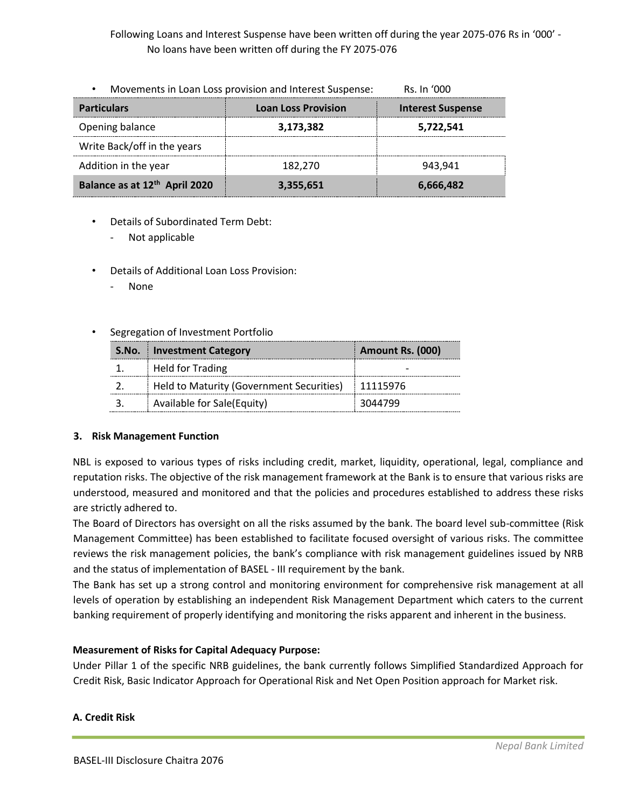Following Loans and Interest Suspense have been written off during the year 2075-076 Rs in '000' - No loans have been written off during the FY 2075-076

| Movements in Loan Loss provision and Interest Suspense:<br>$\bullet$ | Rs. In '000                |                          |
|----------------------------------------------------------------------|----------------------------|--------------------------|
| <b>Particulars</b>                                                   | <b>Loan Loss Provision</b> | <b>Interest Suspense</b> |
| Opening balance                                                      | 3,173,382                  | 5,722,541                |
| Write Back/off in the years                                          |                            |                          |
| Addition in the year                                                 | 182.270                    | 943.941                  |
| Balance as at 12 <sup>th</sup> April 2020                            | 3,355,651                  | 6,666,482                |

- Details of Subordinated Term Debt:
	- Not applicable
- Details of Additional Loan Loss Provision:
	- None
- Segregation of Investment Portfolio

| <b>S.No.</b> Investment Category                    | Amount Rs. (000) |
|-----------------------------------------------------|------------------|
| <b>Held for Trading</b>                             |                  |
| Held to Maturity (Government Securities)   11115976 |                  |
| Available for Sale(Equity)                          | 3044799          |

### **3. Risk Management Function**

NBL is exposed to various types of risks including credit, market, liquidity, operational, legal, compliance and reputation risks. The objective of the risk management framework at the Bank is to ensure that various risks are understood, measured and monitored and that the policies and procedures established to address these risks are strictly adhered to.

The Board of Directors has oversight on all the risks assumed by the bank. The board level sub-committee (Risk Management Committee) has been established to facilitate focused oversight of various risks. The committee reviews the risk management policies, the bank's compliance with risk management guidelines issued by NRB and the status of implementation of BASEL - III requirement by the bank.

The Bank has set up a strong control and monitoring environment for comprehensive risk management at all levels of operation by establishing an independent Risk Management Department which caters to the current banking requirement of properly identifying and monitoring the risks apparent and inherent in the business.

### **Measurement of Risks for Capital Adequacy Purpose:**

Under Pillar 1 of the specific NRB guidelines, the bank currently follows Simplified Standardized Approach for Credit Risk, Basic Indicator Approach for Operational Risk and Net Open Position approach for Market risk.

### **A. Credit Risk**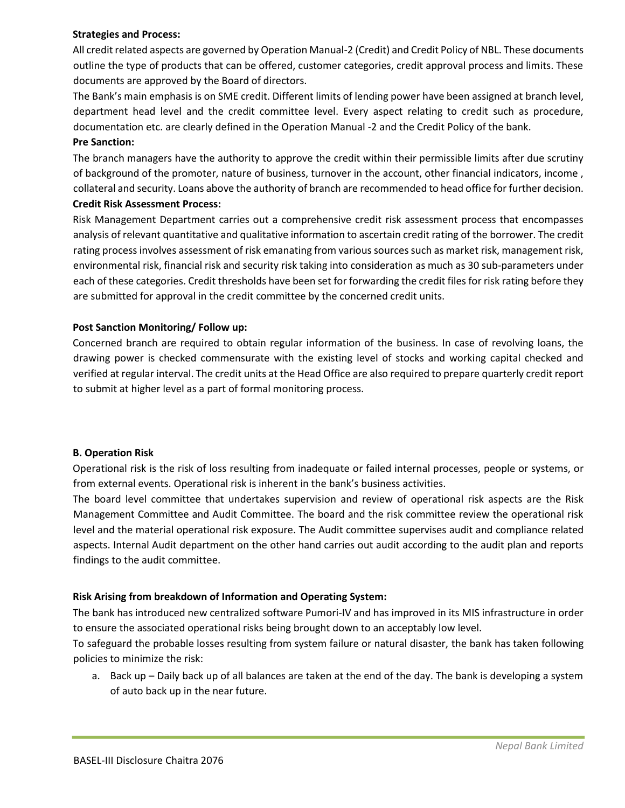#### **Strategies and Process:**

All credit related aspects are governed by Operation Manual-2 (Credit) and Credit Policy of NBL. These documents outline the type of products that can be offered, customer categories, credit approval process and limits. These documents are approved by the Board of directors.

The Bank's main emphasis is on SME credit. Different limits of lending power have been assigned at branch level, department head level and the credit committee level. Every aspect relating to credit such as procedure, documentation etc. are clearly defined in the Operation Manual -2 and the Credit Policy of the bank.

#### **Pre Sanction:**

The branch managers have the authority to approve the credit within their permissible limits after due scrutiny of background of the promoter, nature of business, turnover in the account, other financial indicators, income , collateral and security. Loans above the authority of branch are recommended to head office for further decision.

#### **Credit Risk Assessment Process:**

Risk Management Department carries out a comprehensive credit risk assessment process that encompasses analysis of relevant quantitative and qualitative information to ascertain credit rating of the borrower. The credit rating process involves assessment of risk emanating from various sources such as market risk, management risk, environmental risk, financial risk and security risk taking into consideration as much as 30 sub-parameters under each of these categories. Credit thresholds have been set for forwarding the credit files for risk rating before they are submitted for approval in the credit committee by the concerned credit units.

### **Post Sanction Monitoring/ Follow up:**

Concerned branch are required to obtain regular information of the business. In case of revolving loans, the drawing power is checked commensurate with the existing level of stocks and working capital checked and verified at regular interval. The credit units at the Head Office are also required to prepare quarterly credit report to submit at higher level as a part of formal monitoring process.

#### **B. Operation Risk**

Operational risk is the risk of loss resulting from inadequate or failed internal processes, people or systems, or from external events. Operational risk is inherent in the bank's business activities.

The board level committee that undertakes supervision and review of operational risk aspects are the Risk Management Committee and Audit Committee. The board and the risk committee review the operational risk level and the material operational risk exposure. The Audit committee supervises audit and compliance related aspects. Internal Audit department on the other hand carries out audit according to the audit plan and reports findings to the audit committee.

### **Risk Arising from breakdown of Information and Operating System:**

The bank has introduced new centralized software Pumori-IV and has improved in its MIS infrastructure in order to ensure the associated operational risks being brought down to an acceptably low level.

To safeguard the probable losses resulting from system failure or natural disaster, the bank has taken following policies to minimize the risk:

a. Back up – Daily back up of all balances are taken at the end of the day. The bank is developing a system of auto back up in the near future.